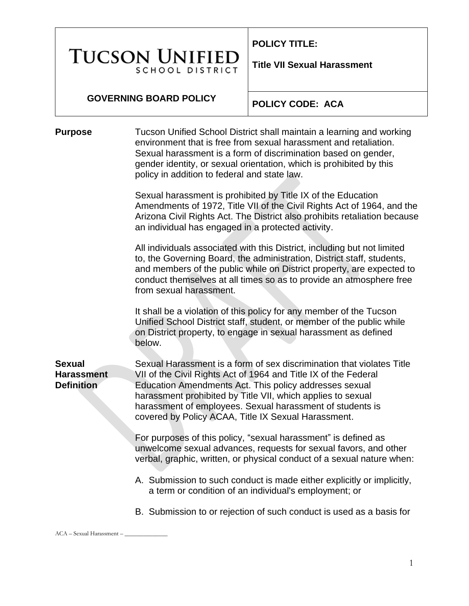# **TUCSON UNIFIEI SCHOOL DISTRICT**

**POLICY TITLE:** 

**Title VII Sexual Harassment**

#### **GOVERNING BOARD POLICY**

**POLICY CODE: ACA**

**Purpose** Tucson Unified School District shall maintain a learning and working environment that is free from sexual harassment and retaliation. Sexual harassment is a form of discrimination based on gender, gender identity, or sexual orientation, which is prohibited by this policy in addition to federal and state law.

> Sexual harassment is prohibited by Title IX of the Education Amendments of 1972, Title VII of the Civil Rights Act of 1964, and the Arizona Civil Rights Act. The District also prohibits retaliation because an individual has engaged in a protected activity.

All individuals associated with this District, including but not limited to, the Governing Board, the administration, District staff, students, and members of the public while on District property, are expected to conduct themselves at all times so as to provide an atmosphere free from sexual harassment.

It shall be a violation of this policy for any member of the Tucson Unified School District staff, student, or member of the public while on District property, to engage in sexual harassment as defined below.

**Sexual Harassment Definition** Sexual Harassment is a form of sex discrimination that violates Title VII of the Civil Rights Act of 1964 and Title IX of the Federal Education Amendments Act. This policy addresses sexual harassment prohibited by Title VII, which applies to sexual harassment of employees. Sexual harassment of students is covered by Policy ACAA, Title IX Sexual Harassment.

> For purposes of this policy, "sexual harassment" is defined as unwelcome sexual advances, requests for sexual favors, and other verbal, graphic, written, or physical conduct of a sexual nature when:

- A. Submission to such conduct is made either explicitly or implicitly, a term or condition of an individual's employment; or
- B. Submission to or rejection of such conduct is used as a basis for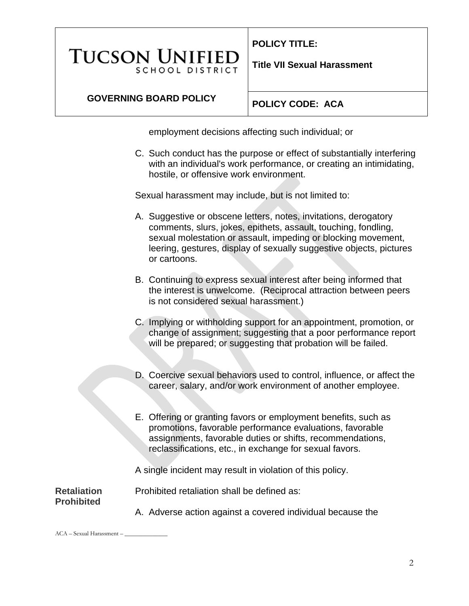**TUCSON UNIFIEI SCHOOL DISTRICT**  **POLICY TITLE:** 

**Title VII Sexual Harassment**

# **GOVERNING BOARD POLICY**

**POLICY CODE: ACA**

employment decisions affecting such individual; or

C. Such conduct has the purpose or effect of substantially interfering with an individual's work performance, or creating an intimidating, hostile, or offensive work environment.

Sexual harassment may include, but is not limited to:

- A. Suggestive or obscene letters, notes, invitations, derogatory comments, slurs, jokes, epithets, assault, touching, fondling, sexual molestation or assault, impeding or blocking movement, leering, gestures, display of sexually suggestive objects, pictures or cartoons.
- B. Continuing to express sexual interest after being informed that the interest is unwelcome. (Reciprocal attraction between peers is not considered sexual harassment.)
- C. Implying or withholding support for an appointment, promotion, or change of assignment; suggesting that a poor performance report will be prepared; or suggesting that probation will be failed.
- D. Coercive sexual behaviors used to control, influence, or affect the career, salary, and/or work environment of another employee.
- E. Offering or granting favors or employment benefits, such as promotions, favorable performance evaluations, favorable assignments, favorable duties or shifts, recommendations, reclassifications, etc., in exchange for sexual favors.

A single incident may result in violation of this policy.

**Retaliation Prohibited**

- Prohibited retaliation shall be defined as:
	- A. Adverse action against a covered individual because the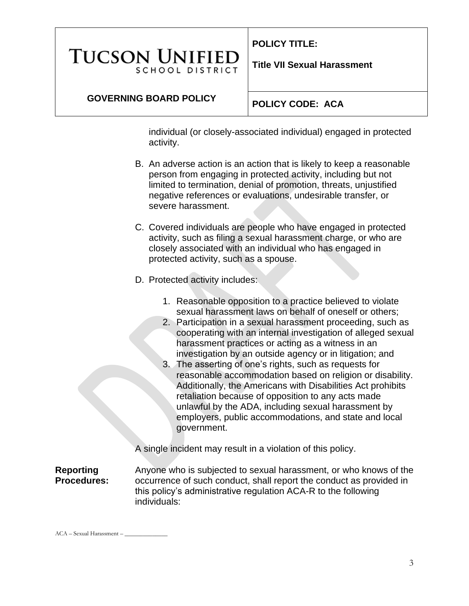# **TUCSON UNIFIED SCHOOL DISTRICT**

**POLICY TITLE:** 

**Title VII Sexual Harassment**

## **GOVERNING BOARD POLICY**

## **POLICY CODE: ACA**

individual (or closely-associated individual) engaged in protected activity.

- B. An adverse action is an action that is likely to keep a reasonable person from engaging in protected activity, including but not limited to termination, denial of promotion, threats, unjustified negative references or evaluations, undesirable transfer, or severe harassment.
- C. Covered individuals are people who have engaged in protected activity, such as filing a sexual harassment charge, or who are closely associated with an individual who has engaged in protected activity, such as a spouse.
- D. Protected activity includes:
	- 1. Reasonable opposition to a practice believed to violate sexual harassment laws on behalf of oneself or others;
	- 2. Participation in a sexual harassment proceeding, such as cooperating with an internal investigation of alleged sexual harassment practices or acting as a witness in an investigation by an outside agency or in litigation; and
	- 3. The asserting of one's rights, such as requests for reasonable accommodation based on religion or disability. Additionally, the Americans with Disabilities Act prohibits retaliation because of opposition to any acts made unlawful by the ADA, including sexual harassment by employers, public accommodations, and state and local government.

A single incident may result in a violation of this policy.

#### **Reporting Procedures:**

Anyone who is subjected to sexual harassment, or who knows of the occurrence of such conduct, shall report the conduct as provided in this policy's administrative regulation ACA-R to the following individuals: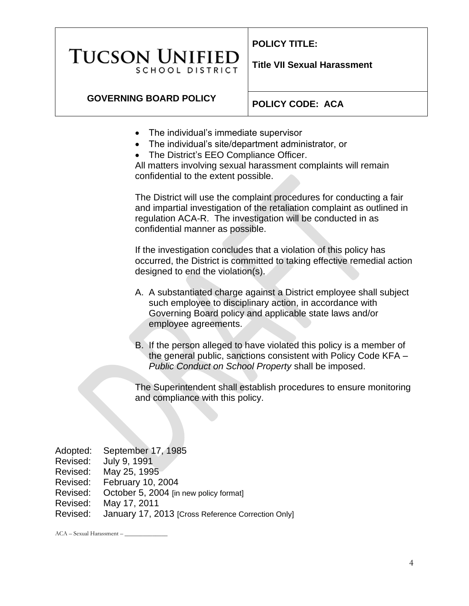# **TUCSON UNIFIEI SCHOOL DISTRICT**

**POLICY TITLE:** 

**Title VII Sexual Harassment**

# **GOVERNING BOARD POLICY**

**POLICY CODE: ACA**

- The individual's immediate supervisor
- The individual's site/department administrator, or
- The District's EEO Compliance Officer.

All matters involving sexual harassment complaints will remain confidential to the extent possible.

The District will use the complaint procedures for conducting a fair and impartial investigation of the retaliation complaint as outlined in regulation ACA-R. The investigation will be conducted in as confidential manner as possible.

If the investigation concludes that a violation of this policy has occurred, the District is committed to taking effective remedial action designed to end the violation(s).

- A. A substantiated charge against a District employee shall subject such employee to disciplinary action, in accordance with Governing Board policy and applicable state laws and/or employee agreements.
- B. If the person alleged to have violated this policy is a member of the general public, sanctions consistent with Policy Code KFA – *Public Conduct on School Property* shall be imposed.

The Superintendent shall establish procedures to ensure monitoring and compliance with this policy.

| Adopted: | September 17, 1985                                 |
|----------|----------------------------------------------------|
| Revised: | July 9, 1991                                       |
| Revised: | May 25, 1995                                       |
| Revised: | February 10, 2004                                  |
| Revised: | October 5, 2004 [in new policy format]             |
| Revised: | May 17, 2011                                       |
| Revised: | January 17, 2013 [Cross Reference Correction Only] |